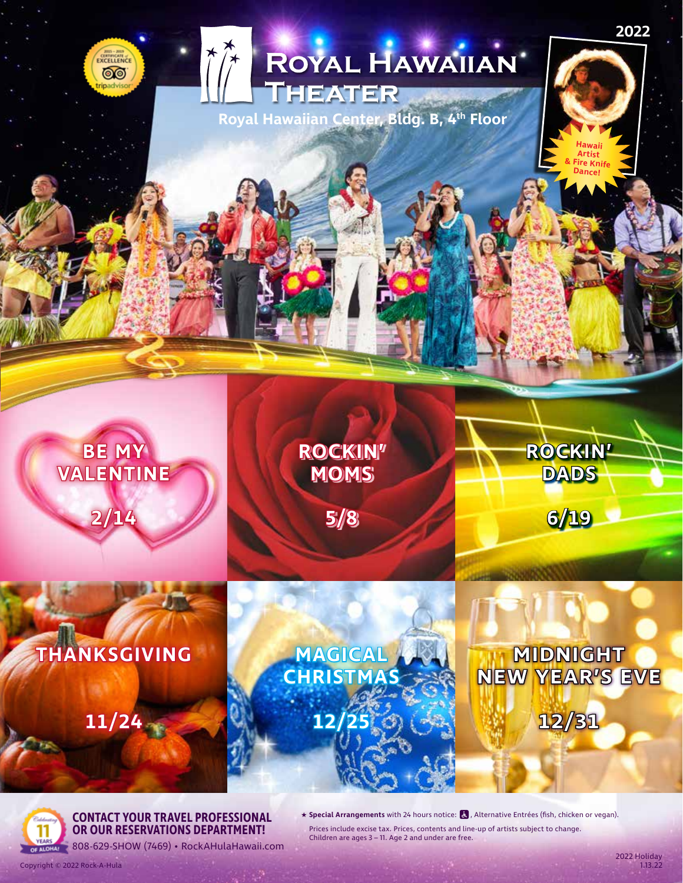# ROYAL HAWAIIAN  $\int$

**Royal Hawaiian Center, Bldg. B, 4th Floor**



**2022**



**BE MY** 

CURRICATE ෨

**VALENTINE**



**5/8**



**MAGICAL CHRISTMAS**

### **11/24**

**12/25**

## **MIDNIGHT NEW YEAR'S EVE**

**ROCKIN'**

**DADS**

**6/19**

**12/31**



**CONTACT YOUR TRAVEL PROFESSIONAL OR OUR RESERVATIONS DEPARTMENT!**

★ Special Arrangements with 24 hours notice: **&** , Alternative Entrées (fish, chicken or vegan). Prices include excise tax. Prices, contents and line-up of artists subject to change. Children are ages 3 – 11. Age 2 and under are free.

Copyright © 2022 Rock-A-Hula